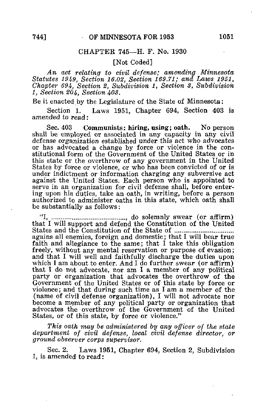## CHAPTER 745—H. F. No. 1930

[Not Coded]

An act relating to civil defense; amending Minnesota Statutes 1949, Section 16.02, Section 169.71; and Laws 1951, Chapter 694, Section 2, Subdivision 1, Section 3, Subdivision 1, Section 204, Section 403.

Be it enacted by the Legislature of the State of Minnesota:

Section 1. Laws 1951, Chapter 694, Section 403 is amended to read:

Sec. 403 Communists: hiring, using; oath. No person shall be employed or associated in any capacity in any civil defense organization established under this act who advocates or has advocated a change by force or violence in the constitutional form of the Government of the United States or in this state or the overthrow of any government in the United States by force or violence, or who has been convicted of or is under indictment or information charging any subversive act against the United States. Each person who is appointed to serve in an organization for civil defense shall, before entering upon his duties, take an oath, in writing, before a person authorized to administer oaths in this state, which oath shall be substantially as follows:

"I, , do solemnly swear (or affirm) that I will support and defend the Constitution of the United States and the Constitution of the State of agains all enemies, foreign and domestic; that I will bear true faith and allegiance to the same; that I take this obligation freely, without any mental reservation or purpose of evasion; and that I will well and faithfully discharge the duties upon which I am about to enter. And I do further swear (or affirm) that I do not advocate, nor am I a member of any political party or organization that advocates the overthrow of the Government of the United States or of this state by force or violence; and that during such time as I am a member of the (name of civil defense organization), I will not advocate nor become a member of any political party or organization that advocates the overthrow of the Government of the United States, or of this state, by force or violence."

This oath may be administered by any officer of the state department of civil defense, local civil defense director, or ground observer corps supervisor.

Sec. 2. Laws 1951, Chapter 694, Section 2, Subdivision 1, is amended to read: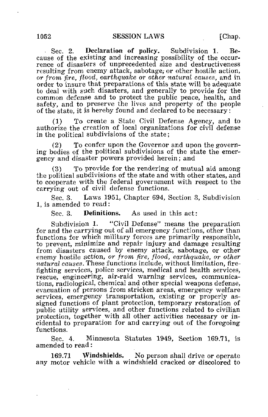Sec. 2. Declaration of policy. Subdivision 1. Because of the existing and increasing possibility of the occurrence of disasters of unprecedented size and destructiveness resulting from enemy attack, sabotage, or other hostile action, or from fire, flood, earthquake or other natural causes, and in order to insure that preparations of this state will be adequate to deal with such disasters, and generally to provide for the common defense and to protect the public peace, health, and safety, and to preserve the lives and property of the people of the state, it is hereby found and declared to be necessary:

(1) To create a State Civil Defense Agency, and to authorize the creation of local organizations for civil defense in the political subdivisions of the state;

(2) To confer upon the Governor and upon the governing bodies of the political subdivisions of the state the emergency and disaster powers provided herein; and

(3) To provide for the rendering of mutual aid among the political subdivisions of the state and with other states, and to cooperate with the federal government with respect to the carrying out of civil defense functions.

Sec. 3. Laws 1951, Chapter 694, Section 3, Subdivision 1, is amended to read:

Sec. 3. Definitions. As used in this act:

Subdivision 1. "Civil Defense" means the preparation for and the carrying out of all emergency functions, other than functions for which military forces are primarily responsible, to prevent, minimize and repair injury and damage resulting from disasters caused by enemy attack, sabotage, or other enemy hostile action, or from fire, flood, earthquake, or other natural causes. These functions include, without limitation, firefighting services, police services, medical and health services, rescue, engineering, air-raid warning services, communications, radiological, chemical and other special weapons defense, evacuation of persons from stricken areas, emergency welfare services, emergency transportation, existing or properly assigned functions of plant protection, temporary restoration of public utility services, and other functions related to civilian protection, together with all other activities necessary or incidental to preparation for and carrying out of the foregoing functions.

Sec. 4. Minnesota Statutes 1949, Section 169.71, is amended to read:

169.71 Windshields. No person shall drive or operate any motor vehicle with a windshield cracked or discolored to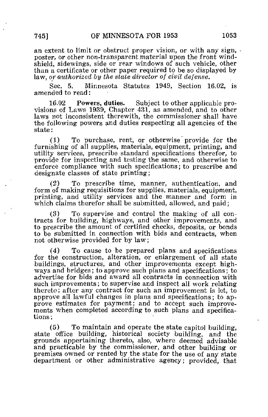an extent to limit or obstruct proper vision, or with any sign, poster, or other non-transparent material upon the front windshield, sidewings, side or rear windows of such vehicle, other than a certificate or other paper required to be so displayed by law, or authorized by the state director of civil defense.

Sec. 5. Minnesota Statutes 1949, Section 16.02, is amended to read:

16.02 Powers, duties. Subject to other applicable provisions of Laws 1939, Chapter 431, as amended, and to other laws not inconsistent therewith, the commissioner shall have the following powers and duties respecting all agencies of the state:

(1) To purchase, rent, or otherwise provide for the furnishing of all supplies, materials, equipment, printing, and utility services, prescribe standard specifications therefor, to provide for inspecting and testing the same, and otherwise to enforce compliance with such specifications; to prescribe and designate classes of state printing;

(2) To prescribe time, manner, authentication, and form of making requisitions for supplies, materials, equipment, printing, and utility services and the manner and form in which claims therefor shall be submitted, allowed, and paid;

(3) To supervise and control the making of all contracts for building, highways, and other improvements, and to prescribe the amount of certified checks, deposits, or bonds to be submitted in connection with bids and contracts, when not otherwise provided for by law;

(4) To cause to be prepared plans and specifications for the construction, alteration, or enlargement of all state buildings, structures, and other improvements except highways and bridges; to approve such plans and specifications; to advertise for bids and award all contracts in connection with such improvements; to supervise and inspect all work relating thereto; after any contract for such an improvement is let, to approve all lawful changes in plans and specifications; to approve estimates for payment; and to accept such improvements when completed according to such plans and specifications;

(5) To maintain and operate the state capitol building, state office building, historical society building, and the grounds appertaining thereto, also, where deemed advisable and practicable by the commissioner, and other building or premises owned or rented by the state for the use of any state department or other administrative agency; provided, that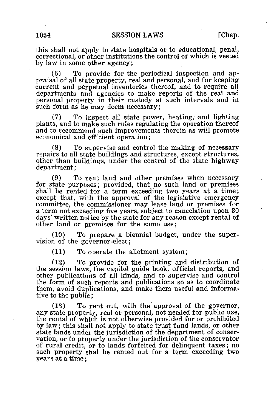this shall not apply to state hospitals or to educational, penal, correctional, or other institutions the control of which is vested by law in some other agency;

(6) To provide for the periodical inspection and appraisal of all state property, real and personal, and for keeping current and perpetual inventories thereof, and to require all departments and agencies to make reports of the real and personal property in their custody at such intervals and in such form as he may deem necessary;

(7) To inspect all state power, heating, and lighting plants, and to make such rules regulating the operation thereof and to recommend such improvements therein as will promote economical and efficient operation;

(8) To supervise and control the making of necessary repairs to all state buildings and structures, except structures, other than buildings, under the control of the state highway department;

(9) To rent land and other premises when necessary for state purposes; provided, that no such land or premises shall be rented for a term exceeding two years at a time; except that, with the approval of the legislative emergency committee, the commissioner may lease land or premises for a term not exceeding five years, subject to cancelation upon 30 days' written notice by the state for any reason except rental of other land or premises for the same use;

(10) To prepare a biennial budget, under the supervision of the governor-elect;

(11) To operate the allotment system;

(12) To provide for the printing and distribution of the session laws, the capitol guide book, official reports, and other publications of all kinds, and to supervise and control the form of such reports and publications so as to coordinate them, avoid duplications, and make them useful and informative to the public;

(13) To rent out, with the approval of the governor, any state property, real or personal, not needed for public use, the rental of which is not otherwise provided for or prohibited by law; this shall not apply to state trust fund lands, or other state lands under the jurisdiction of the department of conservation, or to property under the jurisdiction of the conservator of rural credit, or to lands forfeited for delinquent taxes; no such property shal be rented out for a term exceeding two years at a time;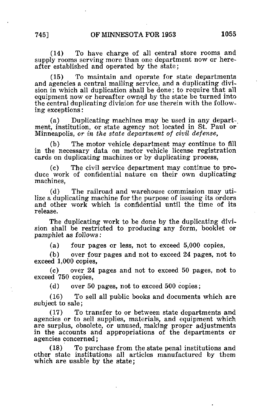(14) To have charge of all central store rooms and supply rooms serving more than one department now or hereafter established and operated by the state;

(15) To maintain and operate for state departments and agencies a central mailing service, and a duplicating division in which all duplication shall be done; to require that all equipment now or hereafter owned by the state be turned into the central duplicating division for use therein with the following exceptions:

(a) Duplicating machines may be used in any depart-, ment, institution, or state agency not located in St. Paul or Minneapolis, or in the state department of civil defense,

(b) The motor vehicle department may continue to fill in the necessary data on motor vehicle license registration cards on duplicating machines or by duplicating process,

(c) The civil service department may continue to produce work of confidential nature on their own duplicating machines,

(d) The railroad and warehouse commission may utilize a duplicating machine for the purpose of issuing its orders and other work which is confidential until the time of its release.

The duplicating work to be done by the duplicating division shall be restricted to producing any form, booklet or pamphlet as follows:

(a) four pages or less, not to exceed 5,000 copies,

(b) over four pages and not to exceed 24 pages, not to exceed 1,000 copies,

(c) over 24 pages and not to exceed 50 pages, not to exceed 750 copies,

(d) over 50 pages, not to exceed 500 copies;

(16) To sell all public books and documents which are subject to sale;

(17) To transfer to or between state departments and agencies or to sell supplies, materials, and equipment which are surplus, obsolete, or unused, making proper adjustments in the accounts and appropriations of the departments or agencies concerned;

(18) To purchase from the state penal institutions and other state institutions all articles manufactured by them which are usable by the state;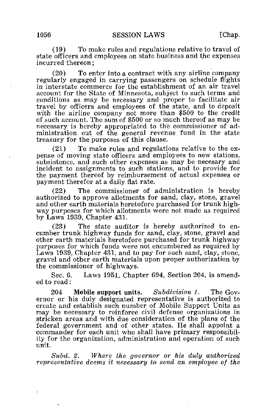(19) To make rules and regulations relative to travel of state officers and employees on state business and the expenses incurred thereon;

(20) To enter into a contract with any airline company regularly engaged in carrying passengers on schedule flights in interstate commerce for the establishment of an air travel account for the State of Minnesota, subject to such terms and conditions as may be necessary and proper to facilitate air travel by officers and employees of the state, and to deposit with the airline company not more than \$500 to the credit of such account. The sum of \$500 or so much thereof as may be necessary is hereby appropriated to the commissioner of administration out of the general revenue fund in the state treasury for the purposes of this clause.

(21) To make rules and regulations relative to the expense of moving state officers and employees to new stations, subsistence, and such other expenses as may be necesary and incident to assignments to such stations, and to provide for the payment thereof by reimbursement of actual expenses or payment therefor at a daily flat rate.

(22) The commissioner of administration is hereby authorized to approve allotments for sand, clay, stone, gravel and other earth materials heretofore purchased for trunk highway purposes for which allotments were not made as required by Laws 1939, Chapter 431.

(23) The state auditor is hereby authorized to encumber trunk highway funds for sand, clay, stone, gravel and other earth materials heretofore purchased for trunk highway purposes for which funds were not encumbered as required by Laws 1939, Chapter 431, and to pay for such sand, clay, stone, gravel and other earth materials upon proper authorization by the commissioner of highways.

Sec. 6. Laws 1951, Chapter 694, Section 204, is amended to read:

204 Mobile support units. Subdivision 1. The Governor or his duly designated representative is authorized to create and establish such number of Mobile Support Units as may be necessary to reinforce civil defense organizations in stricken areas and with due consideration of the plans of the federal government and of other states. He shall appoint a commander for each unit who shall have primary responsibility for the organization, administration and operation of such unit.

Subd. 2. Where the governor or his duly authorized representative deems it necessary to send an employee of the